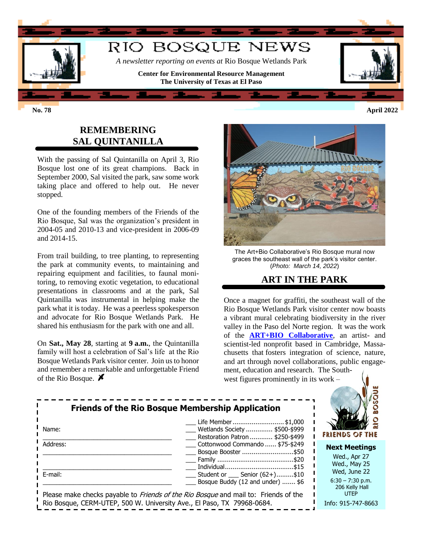

### **REMEMBERING SAL QUINTANILLA**

With the passing of Sal Quintanilla on April 3, Rio Bosque lost one of its great champions. Back in September 2000, Sal visited the park, saw some work taking place and offered to help out. He never stopped.

One of the founding members of the Friends of the Rio Bosque, Sal was the organization's president in 2004-05 and 2010-13 and vice-president in 2006-09 and 2014-15.

From trail building, to tree planting, to representing the park at community events, to maintaining and repairing equipment and facilities, to faunal monitoring, to removing exotic vegetation, to educational presentations in classrooms and at the park, Sal Quintanilla was instrumental in helping make the park what it is today. He was a peerless spokesperson and advocate for Rio Bosque Wetlands Park. He shared his enthusiasm for the park with one and all.

On **Sat., May 28**, starting at **9 a.m.**, the Quintanilla family will host a celebration of Sal's life at the Rio Bosque Wetlands Park visitor center. Join us to honor and remember a remarkable and unforgettable Friend of the Rio Bosque.  $\cancel{\blacktriangleright}$ 



The Art+Bio Collaborative's Rio Bosque mural now graces the southeast wall of the park's visitor center. (*Photo: March 14, 2022*)

## **ART IN THE PARK**

Once a magnet for graffiti, the southeast wall of the Rio Bosque Wetlands Park visitor center now boasts a vibrant mural celebrating biodiversity in the river valley in the Paso del Norte region. It was the work of the **[ART+BIO Collaborative](https://www.artbiocollaborative.com/)**, an artist- and scientist-led nonprofit based in Cambridge, Massachusetts that fosters integration of science, nature, and art through novel collaborations, public engagement, education and research. The South-

west figures prominently in its work –

| <b>Friends of the Rio Bosque Membership Application</b><br>Life Member \$1,000<br>Wetlands Society  \$500-\$999<br>Name:<br>Restoration Patron  \$250-\$499 | FRIENDS OF THE                                                     |                                                                     |  |
|-------------------------------------------------------------------------------------------------------------------------------------------------------------|--------------------------------------------------------------------|---------------------------------------------------------------------|--|
| Address:                                                                                                                                                    | Cottonwood Commando  \$75-\$249<br>Bosque Booster \$50             | <b>Next Meetings</b><br>Wed., Apr 27<br>Wed., May 25                |  |
| E-mail:<br>Please make checks payable to <i>Friends of the Rio Bosque</i> and mail to: Friends of the                                                       | Student or Senior $(62+)$ \$10<br>Bosque Buddy (12 and under)  \$6 | Wed, June 22<br>$6:30 - 7:30$ p.m.<br>206 Kelly Hall<br><b>UTEP</b> |  |
| Rio Bosque, CERM-UTEP, 500 W. University Ave., El Paso, TX 79968-0684.                                                                                      |                                                                    | Info: 915-747-8663                                                  |  |